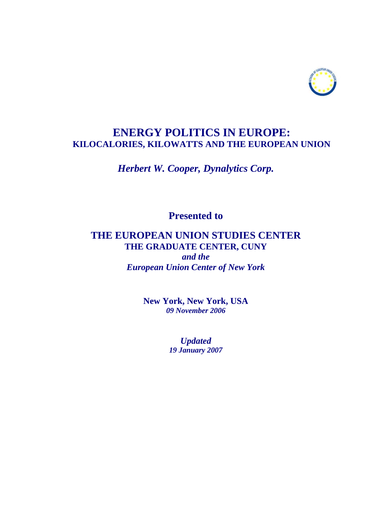

# **ENERGY POLITICS IN EUROPE: KILOCALORIES, KILOWATTS AND THE EUROPEAN UNION**

## *Herbert W. Cooper, Dynalytics Corp.*

**Presented to** 

## **THE EUROPEAN UNION STUDIES CENTER THE GRADUATE CENTER, CUNY**

*and the European Union Center of New York*

> **New York, New York, USA**  *09 November 2006*

> > *Updated 19 January 2007*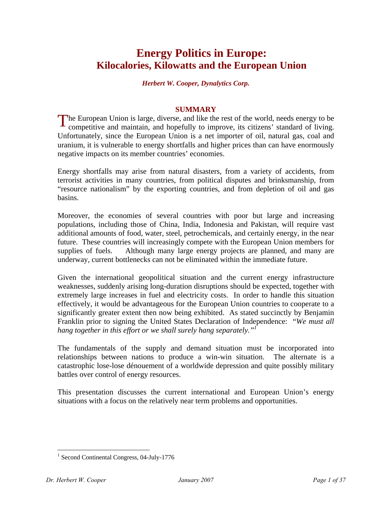# **Energy Politics in Europe: Kilocalories, Kilowatts and the European Union**

#### *Herbert W. Cooper, Dynalytics Corp.*

#### **SUMMARY**

The European Union is large, diverse, and like the rest of the world, needs energy to be competitive and maintain, and hopefully to improve, its citizens' standard of living. competitive and maintain, and hopefully to improve, its citizens' standard of living. Unfortunately, since the European Union is a net importer of oil, natural gas, coal and uranium, it is vulnerable to energy shortfalls and higher prices than can have enormously negative impacts on its member countries' economies.

Energy shortfalls may arise from natural disasters, from a variety of accidents, from terrorist activities in many countries, from political disputes and brinksmanship, from "resource nationalism" by the exporting countries, and from depletion of oil and gas basins.

Moreover, the economies of several countries with poor but large and increasing populations, including those of China, India, Indonesia and Pakistan, will require vast additional amounts of food, water, steel, petrochemicals, and certainly energy, in the near future. These countries will increasingly compete with the European Union members for supplies of fuels. Although many large energy projects are planned, and many are underway, current bottlenecks can not be eliminated within the immediate future.

Given the international geopolitical situation and the current energy infrastructure weaknesses, suddenly arising long-duration disruptions should be expected, together with extremely large increases in fuel and electricity costs. In order to handle this situation effectively, it would be advantageous for the European Union countries to cooperate to a significantly greater extent then now being exhibited. As stated succinctly by Benjamin Franklin prior to signing the United States Declaration of Independence: "*We must all hang together in this effort or we shall surely hang separately."1*

The fundamentals of the supply and demand situation must be incorporated into relationships between nations to produce a win-win situation. The alternate is a catastrophic lose-lose dénouement of a worldwide depression and quite possibly military battles over control of energy resources.

This presentation discusses the current international and European Union's energy situations with a focus on the relatively near term problems and opportunities.

<sup>&</sup>lt;sup>1</sup> Second Continental Congress, 04-July-1776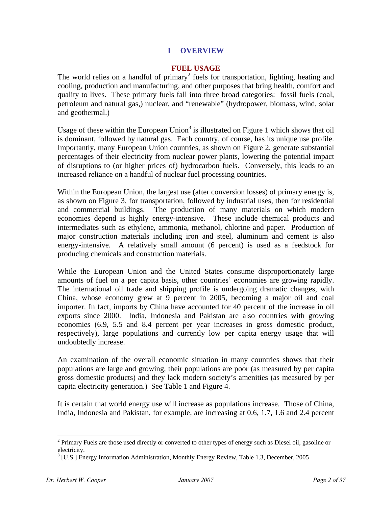## **I OVERVIEW**

#### **FUEL USAGE**

The world relies on a handful of primary<sup>2</sup> fuels for transportation, lighting, heating and cooling, production and manufacturing, and other purposes that bring health, comfort and quality to lives. These primary fuels fall into three broad categories: fossil fuels (coal, petroleum and natural gas,) nuclear, and "renewable" (hydropower, biomass, wind, solar and geothermal.)

Usage of these within the European Union<sup>3</sup> is illustrated on Figure 1 which shows that oil is dominant, followed by natural gas. Each country, of course, has its unique use profile. Importantly, many European Union countries, as shown on Figure 2, generate substantial percentages of their electricity from nuclear power plants, lowering the potential impact of disruptions to (or higher prices of) hydrocarbon fuels. Conversely, this leads to an increased reliance on a handful of nuclear fuel processing countries.

Within the European Union, the largest use (after conversion losses) of primary energy is, as shown on Figure 3, for transportation, followed by industrial uses, then for residential and commercial buildings. The production of many materials on which modern economies depend is highly energy-intensive. These include chemical products and intermediates such as ethylene, ammonia, methanol, chlorine and paper. Production of major construction materials including iron and steel, aluminum and cement is also energy-intensive. A relatively small amount (6 percent) is used as a feedstock for producing chemicals and construction materials.

While the European Union and the United States consume disproportionately large amounts of fuel on a per capita basis, other countries' economies are growing rapidly. The international oil trade and shipping profile is undergoing dramatic changes, with China, whose economy grew at 9 percent in 2005, becoming a major oil and coal importer. In fact, imports by China have accounted for 40 percent of the increase in oil exports since 2000. India, Indonesia and Pakistan are also countries with growing economies (6.9, 5.5 and 8.4 percent per year increases in gross domestic product, respectively), large populations and currently low per capita energy usage that will undoubtedly increase.

An examination of the overall economic situation in many countries shows that their populations are large and growing, their populations are poor (as measured by per capita gross domestic products) and they lack modern society's amenities (as measured by per capita electricity generation.) See Table 1 and Figure 4.

It is certain that world energy use will increase as populations increase. Those of China, India, Indonesia and Pakistan, for example, are increasing at 0.6, 1.7, 1.6 and 2.4 percent

 $2$  Primary Fuels are those used directly or converted to other types of energy such as Diesel oil, gasoline or electricity.

<sup>&</sup>lt;sup>3</sup> [U.S.] Energy Information Administration, Monthly Energy Review, Table 1.3, December, 2005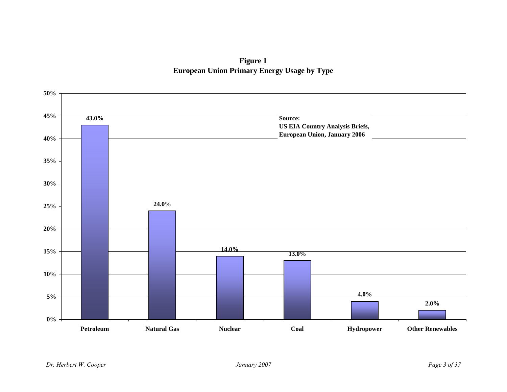**Figure 1 European Union Primary Energy Usage by Type**

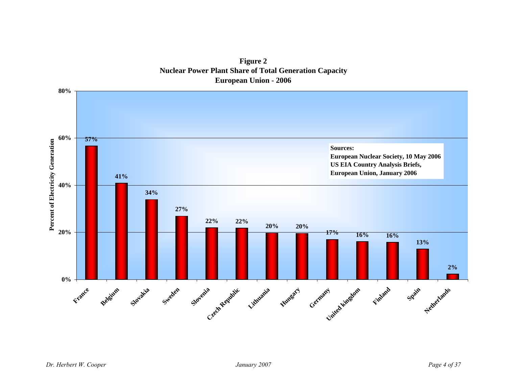

**Figure 2 Nuclear Power Plant Share of Total Generation Capacity European Union - 2006**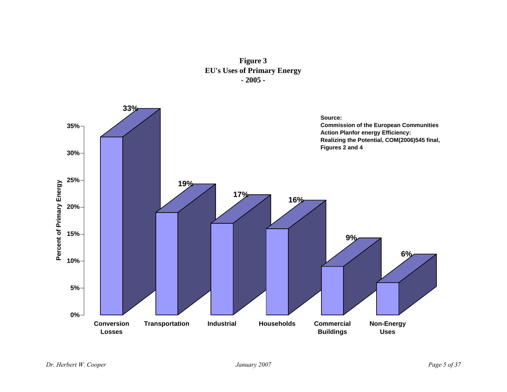**Figure 3 EU's Uses of Primary Energy - 2005 -**

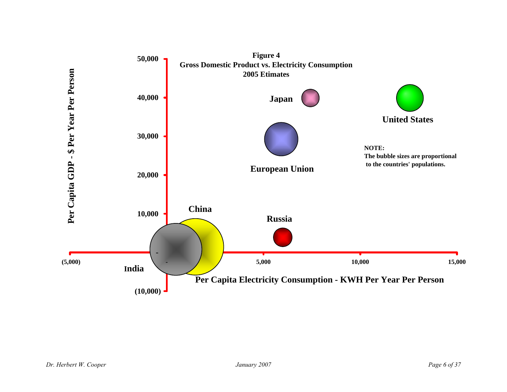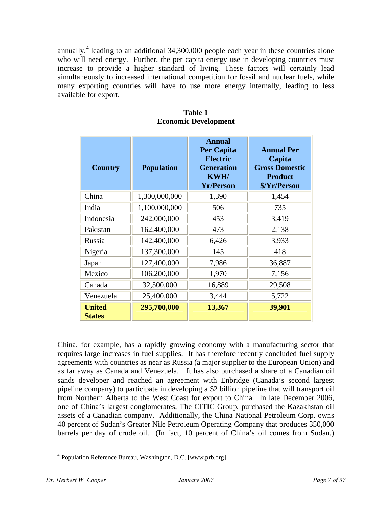annually,<sup>4</sup> leading to an additional  $34,300,000$  people each year in these countries alone who will need energy. Further, the per capita energy use in developing countries must increase to provide a higher standard of living. These factors will certainly lead simultaneously to increased international competition for fossil and nuclear fuels, while many exporting countries will have to use more energy internally, leading to less available for export.

| <b>Country</b>                 | <b>Population</b> | <b>Annual</b><br><b>Per Capita</b><br><b>Electric</b><br><b>Generation</b><br><b>KWH/</b><br><b>Yr/Person</b> | <b>Annual Per</b><br>Capita<br><b>Gross Domestic</b><br><b>Product</b><br>\$/Yr/Person |
|--------------------------------|-------------------|---------------------------------------------------------------------------------------------------------------|----------------------------------------------------------------------------------------|
| China                          | 1,300,000,000     | 1,390                                                                                                         | 1,454                                                                                  |
| India                          | 1,100,000,000     | 506                                                                                                           | 735                                                                                    |
| Indonesia                      | 242,000,000       | 453                                                                                                           | 3,419                                                                                  |
| Pakistan                       | 162,400,000       | 473                                                                                                           | 2,138                                                                                  |
| Russia                         | 142,400,000       | 6,426                                                                                                         | 3,933                                                                                  |
| Nigeria                        | 137,300,000       | 145                                                                                                           | 418                                                                                    |
| Japan                          | 127,400,000       | 7,986                                                                                                         | 36,887                                                                                 |
| Mexico                         | 106,200,000       | 1,970                                                                                                         | 7,156                                                                                  |
| Canada                         | 32,500,000        | 16,889                                                                                                        | 29,508                                                                                 |
| Venezuela                      | 25,400,000        | 3,444                                                                                                         | 5,722                                                                                  |
| <b>United</b><br><b>States</b> | 295,700,000       | 13,367                                                                                                        | 39,901                                                                                 |

**Table 1 Economic Development** 

China, for example, has a rapidly growing economy with a manufacturing sector that requires large increases in fuel supplies. It has therefore recently concluded fuel supply agreements with countries as near as Russia (a major supplier to the European Union) and as far away as Canada and Venezuela. It has also purchased a share of a Canadian oil sands developer and reached an agreement with Enbridge (Canada's second largest pipeline company) to participate in developing a \$2 billion pipeline that will transport oil from Northern Alberta to the West Coast for export to China. In late December 2006, one of China's largest conglomerates, The CITIC Group, purchased the Kazakhstan oil assets of a Canadian company. Additionally, the China National Petroleum Corp. owns 40 percent of Sudan's Greater Nile Petroleum Operating Company that produces 350,000 barrels per day of crude oil. (In fact, 10 percent of China's oil comes from Sudan.)

 $\overline{a}$ 4 Population Reference Bureau, Washington, D.C. [www.prb.org]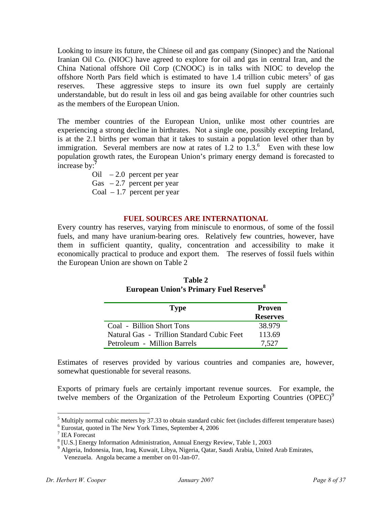Looking to insure its future, the Chinese oil and gas company (Sinopec) and the National Iranian Oil Co. (NIOC) have agreed to explore for oil and gas in central Iran, and the China National offshore Oil Corp (CNOOC) is in talks with NIOC to develop the offshore North Pars field which is estimated to have 1.4 trillion cubic meters<sup>5</sup> of gas reserves. These aggressive steps to insure its own fuel supply are certainly understandable, but do result in less oil and gas being available for other countries such as the members of the European Union.

The member countries of the European Union, unlike most other countries are experiencing a strong decline in birthrates. Not a single one, possibly excepting Ireland, is at the 2.1 births per woman that it takes to sustain a population level other than by immigration. Several members are now at rates of  $1.2$  to  $1.3$ .<sup>6</sup> Even with these low population growth rates, the European Union's primary energy demand is forecasted to increase by:**<sup>7</sup>**

Oil  $-2.0$  percent per year Gas  $-2.7$  percent per year

Coal  $-1.7$  percent per year

#### **FUEL SOURCES ARE INTERNATIONAL**

Every country has reserves, varying from miniscule to enormous, of some of the fossil fuels, and many have uranium-bearing ores. Relatively few countries, however, have them in sufficient quantity, quality, concentration and accessibility to make it economically practical to produce and export them. The reserves of fossil fuels within the European Union are shown on Table 2

| <b>Type</b>                                | <b>Proven</b><br><b>Reserves</b> |
|--------------------------------------------|----------------------------------|
| Coal - Billion Short Tons                  | 38.979                           |
| Natural Gas - Trillion Standard Cubic Feet | 113.69                           |
| Petroleum - Million Barrels                | 7,527                            |

| Table 2                                                    |
|------------------------------------------------------------|
| <b>European Union's Primary Fuel Reserves</b> <sup>8</sup> |

Estimates of reserves provided by various countries and companies are, however, somewhat questionable for several reasons.

Exports of primary fuels are certainly important revenue sources. For example, the twelve members of the Organization of the Petroleum Exporting Countries  $(DPEC)^9$ 

1

<sup>&</sup>lt;sup>5</sup> Multiply normal cubic meters by 37.33 to obtain standard cubic feet (includes different temperature bases)  $\frac{6}{5}$  Eurostat, quoted in The Naw York Times, September 4, 2006

Eurostat, quoted in The New York Times, September 4, 2006

<sup>7</sup> IEA Forecast

<sup>&</sup>lt;sup>8</sup> [U.S.] Energy Information Administration, Annual Energy Review, Table 1, 2003

<sup>9</sup> Algeria, Indonesia, Iran, Iraq, Kuwait, Libya, Nigeria, Qatar, Saudi Arabia, United Arab Emirates, Venezuela. Angola became a member on 01-Jan-07.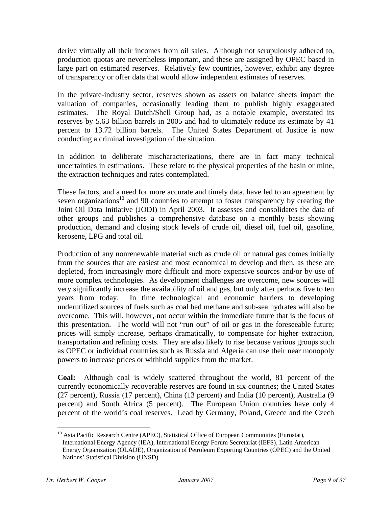derive virtually all their incomes from oil sales. Although not scrupulously adhered to, production quotas are nevertheless important, and these are assigned by OPEC based in large part on estimated reserves. Relatively few countries, however, exhibit any degree of transparency or offer data that would allow independent estimates of reserves.

In the private-industry sector, reserves shown as assets on balance sheets impact the valuation of companies, occasionally leading them to publish highly exaggerated estimates. The Royal Dutch/Shell Group had, as a notable example, overstated its reserves by 5.63 billion barrels in 2005 and had to ultimately reduce its estimate by 41 percent to 13.72 billion barrels. The United States Department of Justice is now conducting a criminal investigation of the situation.

In addition to deliberate mischaracterizations, there are in fact many technical uncertainties in estimations. These relate to the physical properties of the basin or mine, the extraction techniques and rates contemplated.

These factors, and a need for more accurate and timely data, have led to an agreement by seven organizations<sup>10</sup> and 90 countries to attempt to foster transparency by creating the Joint Oil Data Initiative (JODI) in April 2003. It assesses and consolidates the data of other groups and publishes a comprehensive database on a monthly basis showing production, demand and closing stock levels of crude oil, diesel oil, fuel oil, gasoline, kerosene, LPG and total oil.

Production of any nonrenewable material such as crude oil or natural gas comes initially from the sources that are easiest and most economical to develop and then, as these are depleted, from increasingly more difficult and more expensive sources and/or by use of more complex technologies. As development challenges are overcome, new sources will very significantly increase the availability of oil and gas, but only after perhaps five to ten years from today. In time technological and economic barriers to developing underutilized sources of fuels such as coal bed methane and sub-sea hydrates will also be overcome. This will, however, not occur within the immediate future that is the focus of this presentation. The world will not "run out" of oil or gas in the foreseeable future; prices will simply increase, perhaps dramatically, to compensate for higher extraction, transportation and refining costs. They are also likely to rise because various groups such as OPEC or individual countries such as Russia and Algeria can use their near monopoly powers to increase prices or withhold supplies from the market.

**Coal:** Although coal is widely scattered throughout the world, 81 percent of the currently economically recoverable reserves are found in six countries; the United States (27 percent), Russia (17 percent), China (13 percent) and India (10 percent), Australia (9 percent) and South Africa (5 percent). The European Union countries have only 4 percent of the world's coal reserves. Lead by Germany, Poland, Greece and the Czech

<sup>&</sup>lt;sup>10</sup> Asia Pacific Research Centre (APEC), Statistical Office of European Communities (Eurostat), International Energy Agency (IEA), International Energy Forum Secretariat (IEFS), Latin American Energy Organization (OLADE), Organization of Petroleum Exporting Countries (OPEC) and the United Nations' Statistical Division (UNSD)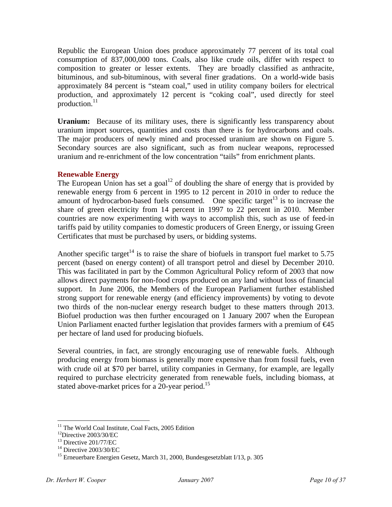Republic the European Union does produce approximately 77 percent of its total coal consumption of 837,000,000 tons. Coals, also like crude oils, differ with respect to composition to greater or lesser extents. They are broadly classified as anthracite, bituminous, and sub-bituminous, with several finer gradations. On a world-wide basis approximately 84 percent is "steam coal," used in utility company boilers for electrical production, and approximately 12 percent is "coking coal", used directly for steel production. $11$ 

Uranium: Because of its military uses, there is significantly less transparency about uranium import sources, quantities and costs than there is for hydrocarbons and coals. The major producers of newly mined and processed uranium are shown on Figure 5. Secondary sources are also significant, such as from nuclear weapons, reprocessed uranium and re-enrichment of the low concentration "tails" from enrichment plants.

## **Renewable Energy**

The European Union has set a goal<sup>12</sup> of doubling the share of energy that is provided by renewable energy from 6 percent in 1995 to 12 percent in 2010 in order to reduce the amount of hydrocarbon-based fuels consumed. One specific target<sup>13</sup> is to increase the share of green electricity from 14 percent in 1997 to 22 percent in 2010. Member countries are now experimenting with ways to accomplish this, such as use of feed-in tariffs paid by utility companies to domestic producers of Green Energy, or issuing Green Certificates that must be purchased by users, or bidding systems.

Another specific target<sup>14</sup> is to raise the share of biofuels in transport fuel market to 5.75 percent (based on energy content) of all transport petrol and diesel by December 2010. This was facilitated in part by the Common Agricultural Policy reform of 2003 that now allows direct payments for non-food crops produced on any land without loss of financial support. In June 2006, the Members of the European Parliament further established strong support for renewable energy (and efficiency improvements) by voting to devote two thirds of the non-nuclear energy research budget to these matters through 2013. Biofuel production was then further encouraged on 1 January 2007 when the European Union Parliament enacted further legislation that provides farmers with a premium of  $\epsilon 45$ per hectare of land used for producing biofuels.

Several countries, in fact, are strongly encouraging use of renewable fuels. Although producing energy from biomass is generally more expensive than from fossil fuels, even with crude oil at \$70 per barrel, utility companies in Germany, for example, are legally required to purchase electricity generated from renewable fuels, including biomass, at stated above-market prices for a 20-year period.<sup>15</sup>

<sup>&</sup>lt;sup>11</sup> The World Coal Institute, Coal Facts, 2005 Edition

<sup>12</sup>Directive 2003/30/EC

<sup>&</sup>lt;sup>13</sup> Directive 201/77/EC

<sup>14</sup> Directive 2003/30/EC

<sup>&</sup>lt;sup>15</sup> Erneuerbare Energien Gesetz, March 31, 2000, Bundesgesetzblatt I/13, p. 305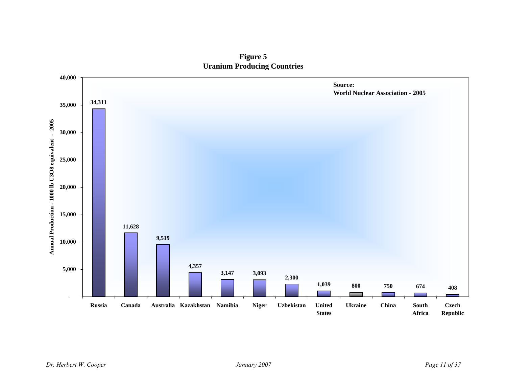**Figure 5 Uranium Producing Countries**

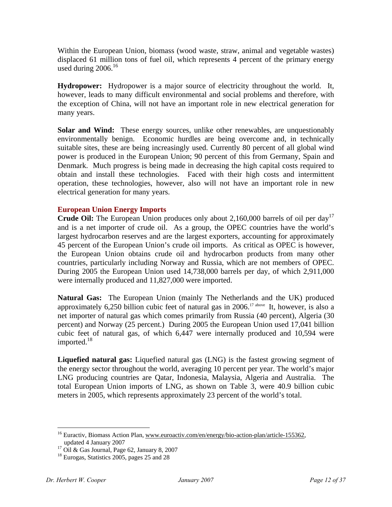Within the European Union, biomass (wood waste, straw, animal and vegetable wastes) displaced 61 million tons of fuel oil, which represents 4 percent of the primary energy used during  $2006$ .<sup>16</sup>

**Hydropower:** Hydropower is a major source of electricity throughout the world. It, however, leads to many difficult environmental and social problems and therefore, with the exception of China, will not have an important role in new electrical generation for many years.

**Solar and Wind:** These energy sources, unlike other renewables, are unquestionably environmentally benign. Economic hurdles are being overcome and, in technically suitable sites, these are being increasingly used. Currently 80 percent of all global wind power is produced in the European Union; 90 percent of this from Germany, Spain and Denmark. Much progress is being made in decreasing the high capital costs required to obtain and install these technologies. Faced with their high costs and intermittent operation, these technologies, however, also will not have an important role in new electrical generation for many years.

## **European Union Energy Imports**

**Crude Oil:** The European Union produces only about 2,160,000 barrels of oil per day<sup>17</sup> and is a net importer of crude oil. As a group, the OPEC countries have the world's largest hydrocarbon reserves and are the largest exporters, accounting for approximately 45 percent of the European Union's crude oil imports. As critical as OPEC is however, the European Union obtains crude oil and hydrocarbon products from many other countries, particularly including Norway and Russia, which are not members of OPEC. During 2005 the European Union used 14,738,000 barrels per day, of which 2,911,000 were internally produced and 11,827,000 were imported.

**Natural Gas:** The European Union (mainly The Netherlands and the UK) produced approximately 6,250 billion cubic feet of natural gas in 2006.<sup>17 above</sup> It, however, is also a net importer of natural gas which comes primarily from Russia (40 percent), Algeria (30 percent) and Norway (25 percent.) During 2005 the European Union used 17,041 billion cubic feet of natural gas, of which 6,447 were internally produced and 10,594 were imported. $18$ 

**Liquefied natural gas:** Liquefied natural gas (LNG) is the fastest growing segment of the energy sector throughout the world, averaging 10 percent per year. The world's major LNG producing countries are Qatar, Indonesia, Malaysia, Algeria and Australia. The total European Union imports of LNG, as shown on Table 3, were 40.9 billion cubic meters in 2005, which represents approximately 23 percent of the world's total.

<u>.</u>

<sup>&</sup>lt;sup>16</sup> Euractiv, Biomass Action Plan, www.euroactiv.com/en/energy/bio-action-plan/article-155362, updated 4 January 2007

<sup>17</sup> Oil & Gas Journal, Page 62, January 8, 2007

<sup>&</sup>lt;sup>18</sup> Eurogas, Statistics 2005, pages 25 and 28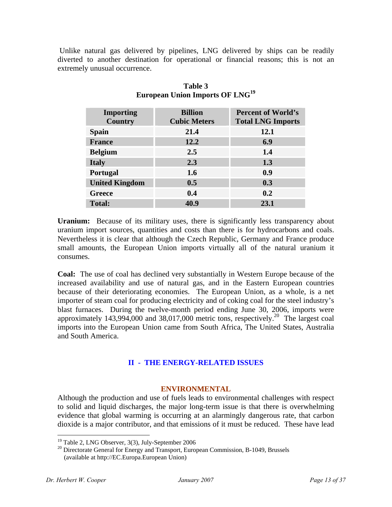Unlike natural gas delivered by pipelines, LNG delivered by ships can be readily diverted to another destination for operational or financial reasons; this is not an extremely unusual occurrence.

| <b>Importing</b><br><b>Country</b> | <b>Billion</b><br><b>Cubic Meters</b> | <b>Percent of World's</b><br><b>Total LNG Imports</b> |
|------------------------------------|---------------------------------------|-------------------------------------------------------|
| <b>Spain</b>                       | 21.4                                  | 12.1                                                  |
| <b>France</b>                      | 12.2                                  | 6.9                                                   |
| <b>Belgium</b>                     | 2.5                                   | 1.4                                                   |
| <b>Italy</b>                       | 2.3                                   | 1.3                                                   |
| Portugal                           | 1.6                                   | 0.9                                                   |
| <b>United Kingdom</b>              | 0.5                                   | 0.3                                                   |
| Greece                             | 0.4                                   | 0.2                                                   |
| <b>Total:</b>                      | 40.9                                  | 23.1                                                  |

## **Table 3 European Union Imports OF LNG<sup>19</sup>**

**Uranium:** Because of its military uses, there is significantly less transparency about uranium import sources, quantities and costs than there is for hydrocarbons and coals. Nevertheless it is clear that although the Czech Republic, Germany and France produce small amounts, the European Union imports virtually all of the natural uranium it consumes.

**Coal:** The use of coal has declined very substantially in Western Europe because of the increased availability and use of natural gas, and in the Eastern European countries because of their deteriorating economies. The European Union, as a whole, is a net importer of steam coal for producing electricity and of coking coal for the steel industry's blast furnaces. During the twelve-month period ending June 30, 2006, imports were approximately 143,994,000 and 38,017,000 metric tons, respectively.<sup>20</sup> The largest coal imports into the European Union came from South Africa, The United States, Australia and South America.

## **II - THE ENERGY-RELATED ISSUES**

## **ENVIRONMENTAL**

 Although the production and use of fuels leads to environmental challenges with respect to solid and liquid discharges, the major long-term issue is that there is overwhelming evidence that global warming is occurring at an alarmingly dangerous rate, that carbon dioxide is a major contributor, and that emissions of it must be reduced. These have lead

<sup>19</sup> Table 2, LNG Observer, 3(3), July-September 2006

<sup>&</sup>lt;sup>20</sup> Directorate General for Energy and Transport, European Commission, B-1049, Brussels (available at http://EC.Europa.European Union)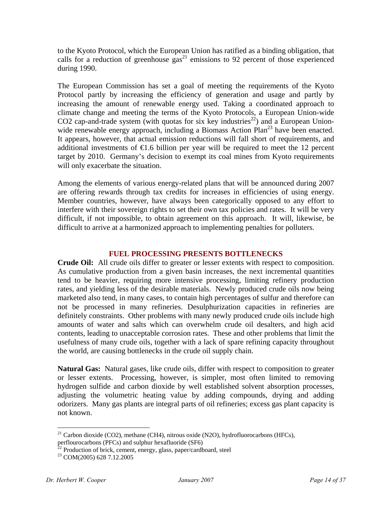to the Kyoto Protocol, which the European Union has ratified as a binding obligation, that calls for a reduction of greenhouse  $\frac{1}{2}$  emissions to 92 percent of those experienced during 1990.

The European Commission has set a goal of meeting the requirements of the Kyoto Protocol partly by increasing the efficiency of generation and usage and partly by increasing the amount of renewable energy used. Taking a coordinated approach to climate change and meeting the terms of the Kyoto Protocols, a European Union-wide  $CO2$  cap-and-trade system (with quotas for six key industries<sup>22</sup>) and a European Unionwide renewable energy approach, including a Biomass Action Plan<sup>23</sup> have been enacted. It appears, however, that actual emission reductions will fall short of requirements, and additional investments of  $\epsilon$ 1.6 billion per year will be required to meet the 12 percent target by 2010. Germany's decision to exempt its coal mines from Kyoto requirements will only exacerbate the situation.

Among the elements of various energy-related plans that will be announced during 2007 are offering rewards through tax credits for increases in efficiencies of using energy. Member countries, however, have always been categorically opposed to any effort to interfere with their sovereign rights to set their own tax policies and rates. It will be very difficult, if not impossible, to obtain agreement on this approach. It will, likewise, be difficult to arrive at a harmonized approach to implementing penalties for polluters.

## **FUEL PROCESSING PRESENTS BOTTLENECKS**

**Crude Oil:** All crude oils differ to greater or lesser extents with respect to composition. As cumulative production from a given basin increases, the next incremental quantities tend to be heavier, requiring more intensive processing, limiting refinery production rates, and yielding less of the desirable materials. Newly produced crude oils now being marketed also tend, in many cases, to contain high percentages of sulfur and therefore can not be processed in many refineries. Desulphurization capacities in refineries are definitely constraints. Other problems with many newly produced crude oils include high amounts of water and salts which can overwhelm crude oil desalters, and high acid contents, leading to unacceptable corrosion rates. These and other problems that limit the usefulness of many crude oils, together with a lack of spare refining capacity throughout the world, are causing bottlenecks in the crude oil supply chain.

**Natural Gas:** Natural gases, like crude oils, differ with respect to composition to greater or lesser extents. Processing, however, is simpler, most often limited to removing hydrogen sulfide and carbon dioxide by well established solvent absorption processes, adjusting the volumetric heating value by adding compounds, drying and adding odorizers. Many gas plants are integral parts of oil refineries; excess gas plant capacity is not known.

<sup>&</sup>lt;sup>21</sup> Carbon dioxide (CO2), methane (CH4), nitrous oxide (N2O), hydrofluorocarbons (HFCs),

perflourocarbons (PFCs) and sulphur hexafluoride (SF6)

 $^{22}$  Production of brick, cement, energy, glass, paper/cardboard, steel

<sup>23</sup> COM(2005) 628 7.12.2005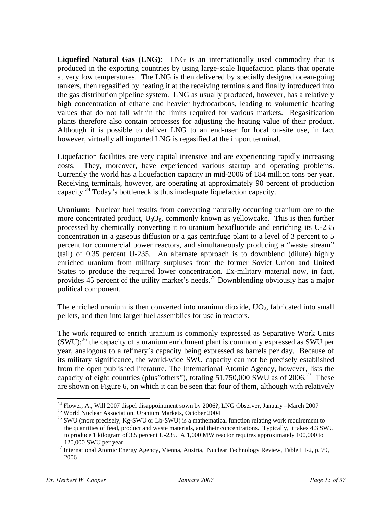**Liquefied Natural Gas (LNG):** LNG is an internationally used commodity that is produced in the exporting countries by using large-scale liquefaction plants that operate at very low temperatures. The LNG is then delivered by specially designed ocean-going tankers, then regasified by heating it at the receiving terminals and finally introduced into the gas distribution pipeline system. LNG as usually produced, however, has a relatively high concentration of ethane and heavier hydrocarbons, leading to volumetric heating values that do not fall within the limits required for various markets. Regasification plants therefore also contain processes for adjusting the heating value of their product. Although it is possible to deliver LNG to an end-user for local on-site use, in fact however, virtually all imported LNG is regasified at the import terminal.

 Liquefaction facilities are very capital intensive and are experiencing rapidly increasing costs. They, moreover, have experienced various startup and operating problems. Currently the world has a liquefaction capacity in mid-2006 of 184 million tons per year. Receiving terminals, however, are operating at approximately 90 percent of production capacity.<sup>24</sup> Today's bottleneck is thus inadequate liquefaction capacity.

**Uranium:** Nuclear fuel results from converting naturally occurring uranium ore to the more concentrated product,  $U_3O_8$ , commonly known as yellowcake. This is then further processed by chemically converting it to uranium hexafluoride and enriching its U-235 concentration in a gaseous diffusion or a gas centrifuge plant to a level of 3 percent to 5 percent for commercial power reactors, and simultaneously producing a "waste stream" (tail) of 0.35 percent U-235. An alternate approach is to downblend (dilute) highly enriched uranium from military surpluses from the former Soviet Union and United States to produce the required lower concentration. Ex-military material now, in fact, provides 45 percent of the utility market's needs.25 Downblending obviously has a major political component.

The enriched uranium is then converted into uranium dioxide,  $UO<sub>2</sub>$ , fabricated into small pellets, and then into larger fuel assemblies for use in reactors.

The work required to enrich uranium is commonly expressed as Separative Work Units  $(SWU)$ ;<sup>26</sup> the capacity of a uranium enrichment plant is commonly expressed as SWU per year, analogous to a refinery's capacity being expressed as barrels per day. Because of its military significance, the world-wide SWU capacity can not be precisely established from the open published literature. The International Atomic Agency, however, lists the capacity of eight countries (plus"others"), totaling  $51,750,000$  SWU as of  $2006<sup>27</sup>$  These are shown on Figure 6, on which it can be seen that four of them, although with relatively

1

<sup>&</sup>lt;sup>24</sup> Flower, A., Will 2007 dispel disappointment sown by 2006?, LNG Observer, January –March 2007 <sup>25</sup> World Nuclear Association, Uranium Markets, October 2004

<sup>&</sup>lt;sup>26</sup> SWU (more precisely, Kg-SWU or Lb-SWU) is a mathematical function relating work requirement to the quantities of feed, product and waste materials, and their concentrations. Typically, it takes 4.3 SWU to produce 1 kilogram of 3.5 percent U-235. A 1,000 MW reactor requires approximately 100,000 to 120,000 SWU per year.

<sup>27</sup> International Atomic Energy Agency, Vienna, Austria, Nuclear Technology Review, Table III-2, p. 79, 2006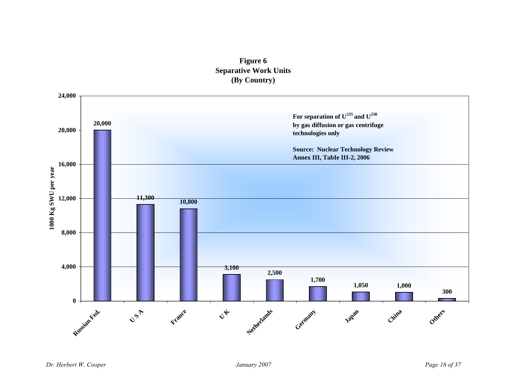## **Figure 6 Separative Work Units (By Country)**

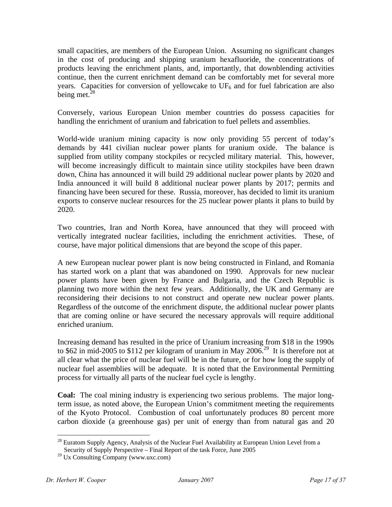small capacities, are members of the European Union. Assuming no significant changes in the cost of producing and shipping uranium hexafluoride, the concentrations of products leaving the enrichment plants, and, importantly, that downblending activities continue, then the current enrichment demand can be comfortably met for several more years. Capacities for conversion of yellowcake to  $UF<sub>6</sub>$  and for fuel fabrication are also being met. $^{28}$ 

Conversely, various European Union member countries do possess capacities for handling the enrichment of uranium and fabrication to fuel pellets and assemblies.

World-wide uranium mining capacity is now only providing 55 percent of today's demands by 441 civilian nuclear power plants for uranium oxide. The balance is supplied from utility company stockpiles or recycled military material. This, however, will become increasingly difficult to maintain since utility stockpiles have been drawn down, China has announced it will build 29 additional nuclear power plants by 2020 and India announced it will build 8 additional nuclear power plants by 2017; permits and financing have been secured for these. Russia, moreover, has decided to limit its uranium exports to conserve nuclear resources for the 25 nuclear power plants it plans to build by 2020.

Two countries, Iran and North Korea, have announced that they will proceed with vertically integrated nuclear facilities, including the enrichment activities. These, of course, have major political dimensions that are beyond the scope of this paper.

A new European nuclear power plant is now being constructed in Finland, and Romania has started work on a plant that was abandoned on 1990. Approvals for new nuclear power plants have been given by France and Bulgaria, and the Czech Republic is planning two more within the next few years. Additionally, the UK and Germany are reconsidering their decisions to not construct and operate new nuclear power plants. Regardless of the outcome of the enrichment dispute, the additional nuclear power plants that are coming online or have secured the necessary approvals will require additional enriched uranium.

Increasing demand has resulted in the price of Uranium increasing from \$18 in the 1990s to \$62 in mid-2005 to \$112 per kilogram of uranium in May 2006.<sup>29</sup> It is therefore not at all clear what the price of nuclear fuel will be in the future, or for how long the supply of nuclear fuel assemblies will be adequate. It is noted that the Environmental Permitting process for virtually all parts of the nuclear fuel cycle is lengthy.

**Coal:** The coal mining industry is experiencing two serious problems. The major longterm issue, as noted above, the European Union's commitment meeting the requirements of the Kyoto Protocol. Combustion of coal unfortunately produces 80 percent more carbon dioxide (a greenhouse gas) per unit of energy than from natural gas and 20

<sup>1</sup>  $^{28}$  Euratom Supply Agency, Analysis of the Nuclear Fuel Availability at European Union Level from a Security of Supply Perspective – Final Report of the task Force, June 2005

<sup>29</sup> Ux Consulting Company (www.uxc.com)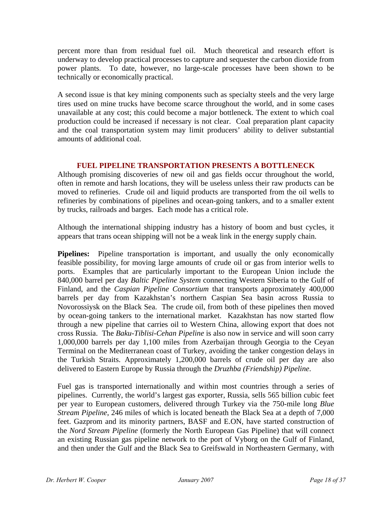percent more than from residual fuel oil. Much theoretical and research effort is underway to develop practical processes to capture and sequester the carbon dioxide from power plants. To date, however, no large-scale processes have been shown to be technically or economically practical.

 A second issue is that key mining components such as specialty steels and the very large tires used on mine trucks have become scarce throughout the world, and in some cases unavailable at any cost; this could become a major bottleneck. The extent to which coal production could be increased if necessary is not clear. Coal preparation plant capacity and the coal transportation system may limit producers' ability to deliver substantial amounts of additional coal.

## **FUEL PIPELINE TRANSPORTATION PRESENTS A BOTTLENECK**

Although promising discoveries of new oil and gas fields occur throughout the world, often in remote and harsh locations, they will be useless unless their raw products can be moved to refineries. Crude oil and liquid products are transported from the oil wells to refineries by combinations of pipelines and ocean-going tankers, and to a smaller extent by trucks, railroads and barges. Each mode has a critical role.

Although the international shipping industry has a history of boom and bust cycles, it appears that trans ocean shipping will not be a weak link in the energy supply chain.

**Pipelines:** Pipeline transportation is important, and usually the only economically feasible possibility, for moving large amounts of crude oil or gas from interior wells to ports. Examples that are particularly important to the European Union include the 840,000 barrel per day *Baltic Pipeline System* connecting Western Siberia to the Gulf of Finland, and the *Caspian Pipeline Consortium* that transports approximately 400,000 barrels per day from Kazakhstan's northern Caspian Sea basin across Russia to Novorossiysk on the Black Sea. The crude oil, from both of these pipelines then moved by ocean-going tankers to the international market. Kazakhstan has now started flow through a new pipeline that carries oil to Western China, allowing export that does not cross Russia. The *Baku-Tiblisi-Cehan Pipeline* is also now in service and will soon carry 1,000,000 barrels per day 1,100 miles from Azerbaijan through Georgia to the Ceyan Terminal on the Mediterranean coast of Turkey, avoiding the tanker congestion delays in the Turkish Straits. Approximately 1,200,000 barrels of crude oil per day are also delivered to Eastern Europe by Russia through the *Druzhba (Friendship) Pipeline*.

Fuel gas is transported internationally and within most countries through a series of pipelines. Currently, the world's largest gas exporter, Russia, sells 565 billion cubic feet per year to European customers, delivered through Turkey via the 750-mile long *Blue Stream Pipeline*, 246 miles of which is located beneath the Black Sea at a depth of 7,000 feet. Gazprom and its minority partners, BASF and E.ON, have started construction of the *Nord Stream Pipeline* (formerly the North European Gas Pipeline) that will connect an existing Russian gas pipeline network to the port of Vyborg on the Gulf of Finland, and then under the Gulf and the Black Sea to Greifswald in Northeastern Germany, with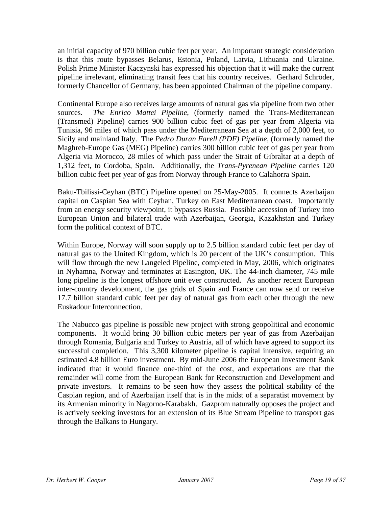an initial capacity of 970 billion cubic feet per year. An important strategic consideration is that this route bypasses Belarus, Estonia, Poland, Latvia, Lithuania and Ukraine. Polish Prime Minister Kaczynski has expressed his objection that it will make the current pipeline irrelevant, eliminating transit fees that his country receives. Gerhard Schröder, formerly Chancellor of Germany, has been appointed Chairman of the pipeline company.

Continental Europe also receives large amounts of natural gas via pipeline from two other sources. *The Enrico Mattei Pipeline*, (formerly named the Trans-Mediterranean (Transmed) Pipeline) carries 900 billion cubic feet of gas per year from Algeria via Tunisia, 96 miles of which pass under the Mediterranean Sea at a depth of 2,000 feet, to Sicily and mainland Italy. The *Pedro Duran Farell (PDF) Pipeline*, (formerly named the Maghreb-Europe Gas (MEG) Pipeline) carries 300 billion cubic feet of gas per year from Algeria via Morocco, 28 miles of which pass under the Strait of Gibraltar at a depth of 1,312 feet, to Cordoba, Spain. Additionally, the *Trans-Pyrenean Pipeline* carries 120 billion cubic feet per year of gas from Norway through France to Calahorra Spain.

Baku-Tbilissi-Ceyhan (BTC) Pipeline opened on 25-May-2005. It connects Azerbaijan capital on Caspian Sea with Ceyhan, Turkey on East Mediterranean coast. Importantly from an energy security viewpoint, it bypasses Russia. Possible accession of Turkey into European Union and bilateral trade with Azerbaijan, Georgia, Kazakhstan and Turkey form the political context of BTC.

Within Europe, Norway will soon supply up to 2.5 billion standard cubic feet per day of natural gas to the United Kingdom, which is 20 percent of the UK's consumption. This will flow through the new Langeled Pipeline, completed in May, 2006, which originates in Nyhamna, Norway and terminates at Easington, UK. The 44-inch diameter, 745 mile long pipeline is the longest offshore unit ever constructed. As another recent European inter-country development, the gas grids of Spain and France can now send or receive 17.7 billion standard cubic feet per day of natural gas from each other through the new Euskadour Interconnection.

The Nabucco gas pipeline is possible new project with strong geopolitical and economic components. It would bring 30 billion cubic meters per year of gas from Azerbaijan through Romania, Bulgaria and Turkey to Austria, all of which have agreed to support its successful completion. This 3,300 kilometer pipeline is capital intensive, requiring an estimated 4.8 billion Euro investment. By mid-June 2006 the European Investment Bank indicated that it would finance one-third of the cost, and expectations are that the remainder will come from the European Bank for Reconstruction and Development and private investors. It remains to be seen how they assess the political stability of the Caspian region, and of Azerbaijan itself that is in the midst of a separatist movement by its Armenian minority in Nagorno-Karabakh. Gazprom naturally opposes the project and is actively seeking investors for an extension of its Blue Stream Pipeline to transport gas through the Balkans to Hungary.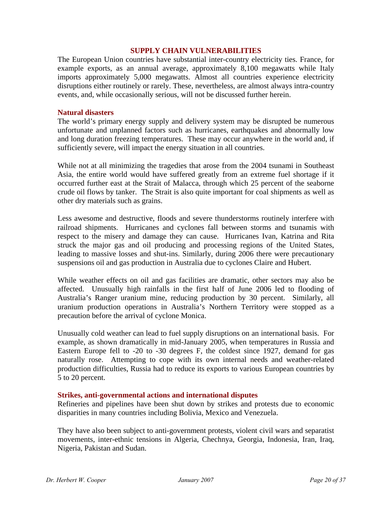#### **SUPPLY CHAIN VULNERABILITIES**

The European Union countries have substantial inter-country electricity ties. France, for example exports, as an annual average, approximately 8,100 megawatts while Italy imports approximately 5,000 megawatts. Almost all countries experience electricity disruptions either routinely or rarely. These, nevertheless, are almost always intra-country events, and, while occasionally serious, will not be discussed further herein.

#### **Natural disasters**

The world's primary energy supply and delivery system may be disrupted be numerous unfortunate and unplanned factors such as hurricanes, earthquakes and abnormally low and long duration freezing temperatures. These may occur anywhere in the world and, if sufficiently severe, will impact the energy situation in all countries.

While not at all minimizing the tragedies that arose from the 2004 tsunami in Southeast Asia, the entire world would have suffered greatly from an extreme fuel shortage if it occurred further east at the Strait of Malacca, through which 25 percent of the seaborne crude oil flows by tanker. The Strait is also quite important for coal shipments as well as other dry materials such as grains.

Less awesome and destructive, floods and severe thunderstorms routinely interfere with railroad shipments. Hurricanes and cyclones fall between storms and tsunamis with respect to the misery and damage they can cause. Hurricanes Ivan, Katrina and Rita struck the major gas and oil producing and processing regions of the United States, leading to massive losses and shut-ins. Similarly, during 2006 there were precautionary suspensions oil and gas production in Australia due to cyclones Claire and Hubert.

While weather effects on oil and gas facilities are dramatic, other sectors may also be affected. Unusually high rainfalls in the first half of June 2006 led to flooding of Australia's Ranger uranium mine, reducing production by 30 percent. Similarly, all uranium production operations in Australia's Northern Territory were stopped as a precaution before the arrival of cyclone Monica.

Unusually cold weather can lead to fuel supply disruptions on an international basis. For example, as shown dramatically in mid-January 2005, when temperatures in Russia and Eastern Europe fell to -20 to -30 degrees F, the coldest since 1927, demand for gas naturally rose. Attempting to cope with its own internal needs and weather-related production difficulties, Russia had to reduce its exports to various European countries by 5 to 20 percent.

#### **Strikes, anti-governmental actions and international disputes**

Refineries and pipelines have been shut down by strikes and protests due to economic disparities in many countries including Bolivia, Mexico and Venezuela.

They have also been subject to anti-government protests, violent civil wars and separatist movements, inter-ethnic tensions in Algeria, Chechnya, Georgia, Indonesia, Iran, Iraq, Nigeria, Pakistan and Sudan.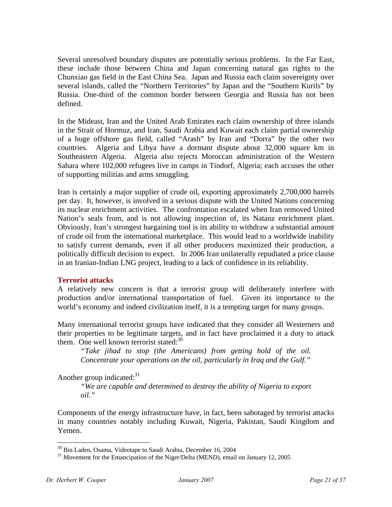Several unresolved boundary disputes are potentially serious problems. In the Far East, these include those between China and Japan concerning natural gas rights to the Chunxiao gas field in the East China Sea. Japan and Russia each claim sovereignty over several islands, called the "Northern Territories" by Japan and the "Southern Kurils" by Russia. One-third of the common border between Georgia and Russia has not been defined.

In the Mideast, Iran and the United Arab Emirates each claim ownership of three islands in the Strait of Hormuz, and Iran, Saudi Arabia and Kuwait each claim partial ownership of a huge offshore gas field, called "Arash" by Iran and "Dorra" by the other two countries. Algeria and Libya have a dormant dispute about 32,000 square km in Southeastern Algeria. Algeria also rejects Moroccan administration of the Western Sahara where 102,000 refugees live in camps in Tindorf, Algeria; each accuses the other of supporting militias and arms smuggling.

Iran is certainly a major supplier of crude oil, exporting approximately 2,700,000 barrels per day. It, however, is involved in a serious dispute with the United Nations concerning its nuclear enrichment activities. The confrontation escalated when Iran removed United Nation's seals from, and is not allowing inspection of, its Natanz enrichment plant. Obviously, Iran's strongest bargaining tool is its ability to withdraw a substantial amount of crude oil from the international marketplace. This would lead to a worldwide inability to satisfy current demands, even if all other producers maximized their production, a politically difficult decision to expect. In 2006 Iran unilaterally repudiated a price clause in an Iranian-Indian LNG project, leading to a lack of confidence in its reliability.

## **Terrorist attacks**

A relatively new concern is that a terrorist group will deliberately interfere with production and/or international transportation of fuel. Given its importance to the world's economy and indeed civilization itself, it is a tempting target for many groups.

Many international terrorist groups have indicated that they consider all Westerners and their properties to be legitimate targets, and in fact have proclaimed it a duty to attack them. One well known terrorist stated:<sup>30</sup>

*"Take jihad to stop (the Americans) from getting hold of the oil. Concentrate your operations on the oil, particularly in Iraq and the Gulf."* 

Another group indicated: $31$ 

*"We are capable and determined to destroy the ability of Nigeria to export oil."* 

Components of the energy infrastructure have, in fact, been sabotaged by terrorist attacks in many countries notably including Kuwait, Nigeria, Pakistan, Saudi Kingdom and Yemen.

1

<sup>&</sup>lt;sup>30</sup> Bin Laden, Osama, Videotape to Saudi Arabia, December 16, 2004

<sup>&</sup>lt;sup>31</sup> Movement for the Emancipation of the Niger/Delta (MEND), email on January 12, 2005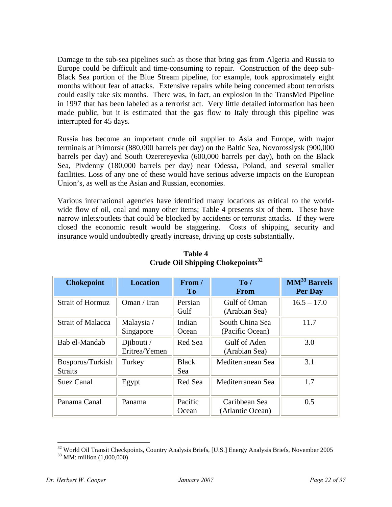Damage to the sub-sea pipelines such as those that bring gas from Algeria and Russia to Europe could be difficult and time-consuming to repair. Construction of the deep sub-Black Sea portion of the Blue Stream pipeline, for example, took approximately eight months without fear of attacks. Extensive repairs while being concerned about terrorists could easily take six months. There was, in fact, an explosion in the TransMed Pipeline in 1997 that has been labeled as a terrorist act. Very little detailed information has been made public, but it is estimated that the gas flow to Italy through this pipeline was interrupted for 45 days.

Russia has become an important crude oil supplier to Asia and Europe, with major terminals at Primorsk (880,000 barrels per day) on the Baltic Sea, Novorossiysk (900,000 barrels per day) and South Ozerereyevka (600,000 barrels per day), both on the Black Sea, Pivdenny (180,000 barrels per day) near Odessa, Poland, and several smaller facilities. Loss of any one of these would have serious adverse impacts on the European Union's, as well as the Asian and Russian, economies.

Various international agencies have identified many locations as critical to the worldwide flow of oil, coal and many other items; Table 4 presents six of them. These have narrow inlets/outlets that could be blocked by accidents or terrorist attacks. If they were closed the economic result would be staggering. Costs of shipping, security and insurance would undoubtedly greatly increase, driving up costs substantially.

| <b>Chokepoint</b>                  | <b>Location</b>               | From /<br>To        | To/<br><b>From</b>                 | <b>MM</b> <sup>33</sup> Barrels<br>Per Day |
|------------------------------------|-------------------------------|---------------------|------------------------------------|--------------------------------------------|
| <b>Strait of Hormuz</b>            | Oman / Iran                   | Persian<br>Gulf     | Gulf of Oman<br>(Arabian Sea)      | $16.5 - 17.0$                              |
| <b>Strait of Malacca</b>           | Malaysia /<br>Singapore       | Indian<br>Ocean     | South China Sea<br>(Pacific Ocean) | 11.7                                       |
| Bab el-Mandab                      | Djibouti $/$<br>Eritrea/Yemen | Red Sea             | Gulf of Aden<br>(Arabian Sea)      | 3.0                                        |
| Bosporus/Turkish<br><b>Straits</b> | Turkey                        | <b>Black</b><br>Sea | Mediterranean Sea                  | 3.1                                        |
| Suez Canal                         | Egypt                         | Red Sea             | Mediterranean Sea                  | 1.7                                        |
| Panama Canal                       | Panama                        | Pacific<br>Ocean    | Caribbean Sea<br>(Atlantic Ocean)  | 0.5                                        |

## **Table 4 Crude Oil Shipping Chokepoints32**

 $32$  World Oil Transit Checkpoints, Country Analysis Briefs, [U.S.] Energy Analysis Briefs, November 2005 MM: million (1,000,000)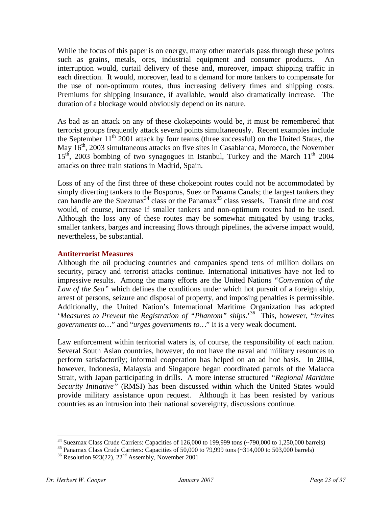While the focus of this paper is on energy, many other materials pass through these points such as grains, metals, ores, industrial equipment and consumer products. An interruption would, curtail delivery of these and, moreover, impact shipping traffic in each direction. It would, moreover, lead to a demand for more tankers to compensate for the use of non-optimum routes, thus increasing delivery times and shipping costs. Premiums for shipping insurance, if available, would also dramatically increase. The duration of a blockage would obviously depend on its nature.

As bad as an attack on any of these ckokepoints would be, it must be remembered that terrorist groups frequently attack several points simultaneously. Recent examples include the September  $11<sup>th</sup>$  2001 attack by four teams (three successful) on the United States, the May 16<sup>th</sup>, 2003 simultaneous attacks on five sites in Casablanca, Morocco, the November  $15<sup>th</sup>$ , 2003 bombing of two synagogues in Istanbul, Turkey and the March  $11<sup>th</sup>$  2004 attacks on three train stations in Madrid, Spain.

Loss of any of the first three of these chokepoint routes could not be accommodated by simply diverting tankers to the Bosporus, Suez or Panama Canals; the largest tankers they can handle are the Suezmax<sup>34</sup> class or the Panamax<sup>35</sup> class vessels. Transit time and cost would, of course, increase if smaller tankers and non-optimum routes had to be used. Although the loss any of these routes may be somewhat mitigated by using trucks, smaller tankers, barges and increasing flows through pipelines, the adverse impact would, nevertheless, be substantial.

#### **Antiterrorist Measures**

Although the oil producing countries and companies spend tens of million dollars on security, piracy and terrorist attacks continue. International initiatives have not led to impressive results. Among the many efforts are the United Nations *"Convention of the Law of the Sea"* which defines the conditions under which hot pursuit of a foreign ship, arrest of persons, seizure and disposal of property, and imposing penalties is permissible. Additionally, the United Nation's International Maritime Organization has adopted '*Measures to Prevent the Registration of "Phantom" ships.*' 36 This, however, "*invites governments to…*" and "*urges governments to…*" It is a very weak document.

Law enforcement within territorial waters is, of course, the responsibility of each nation. Several South Asian countries, however, do not have the naval and military resources to perform satisfactorily; informal cooperation has helped on an ad hoc basis. In 2004, however, Indonesia, Malaysia and Singapore began coordinated patrols of the Malacca Strait, with Japan participating in drills. A more intense structured *"Regional Maritime Security Initiative"* (RMSI) has been discussed within which the United States would provide military assistance upon request. Although it has been resisted by various countries as an intrusion into their national sovereignty, discussions continue.

<sup>&</sup>lt;sup>34</sup> Suezmax Class Crude Carriers: Capacities of 126,000 to 199,999 tons (~790,000 to 1,250,000 barrels) <sup>35</sup> Panamax Class Crude Carriers: Capacities of 50,000 to 79,999 tons (~314,000 to 503,000 barrels)

<sup>&</sup>lt;sup>36</sup> Resolution 923(22),  $22<sup>nd</sup>$  Assembly, November 2001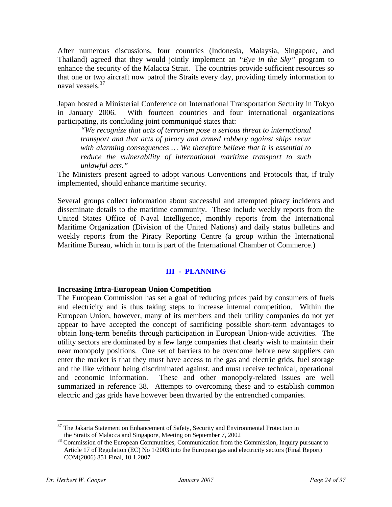After numerous discussions, four countries (Indonesia, Malaysia, Singapore, and Thailand) agreed that they would jointly implement an *"Eye in the Sky"* program to enhance the security of the Malacca Strait. The countries provide sufficient resources so that one or two aircraft now patrol the Straits every day, providing timely information to naval vessels.<sup>37</sup>

Japan hosted a Ministerial Conference on International Transportation Security in Tokyo in January 2006. With fourteen countries and four international organizations participating, its concluding joint communiqué states that:

*"We recognize that acts of terrorism pose a serious threat to international transport and that acts of piracy and armed robbery against ships recur with alarming consequences … We therefore believe that it is essential to reduce the vulnerability of international maritime transport to such unlawful acts."* 

The Ministers present agreed to adopt various Conventions and Protocols that, if truly implemented, should enhance maritime security.

Several groups collect information about successful and attempted piracy incidents and disseminate details to the maritime community. These include weekly reports from the United States Office of Naval Intelligence, monthly reports from the International Maritime Organization (Division of the United Nations) and daily status bulletins and weekly reports from the Piracy Reporting Centre (a group within the International Maritime Bureau, which in turn is part of the International Chamber of Commerce.)

## **III - PLANNING**

## **Increasing Intra-European Union Competition**

The European Commission has set a goal of reducing prices paid by consumers of fuels and electricity and is thus taking steps to increase internal competition. Within the European Union, however, many of its members and their utility companies do not yet appear to have accepted the concept of sacrificing possible short-term advantages to obtain long-term benefits through participation in European Union-wide activities. The utility sectors are dominated by a few large companies that clearly wish to maintain their near monopoly positions. One set of barriers to be overcome before new suppliers can enter the market is that they must have access to the gas and electric grids, fuel storage and the like without being discriminated against, and must receive technical, operational and economic information. These and other monopoly-related issues are well summarized in reference 38. Attempts to overcoming these and to establish common electric and gas grids have however been thwarted by the entrenched companies.

 $37$  The Jakarta Statement on Enhancement of Safety, Security and Environmental Protection in

the Straits of Malacca and Singapore, Meeting on September 7, 2002<br><sup>38</sup> Commission of the European Communities, Communication from the Commission, Inquiry pursuant to Article 17 of Regulation (EC) No 1/2003 into the European gas and electricity sectors (Final Report) COM(2006) 851 Final, 10.1.2007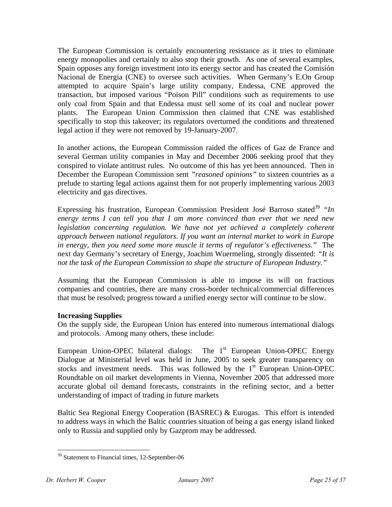The European Commission is certainly encountering resistance as it tries to eliminate energy monopolies and certainly to also stop their growth. As one of several examples, Spain opposes any foreign investment into its energy sector and has created the Comisión Nacional de Energia (CNE) to oversee such activities. When Germany's E.On Group attempted to acquire Spain's large utility company, Endessa, CNE approved the transaction, but imposed various "Poison Pill" conditions such as requirements to use only coal from Spain and that Endessa must sell some of its coal and nuclear power plants. The European Union Commission then claimed that CNE was established specifically to stop this takeover; its regulators overturned the conditions and threatened legal action if they were not removed by 19-January-2007.

In another actions, the European Commission raided the offices of Gaz de France and several German utility companies in May and December 2006 seeking proof that they conspired to violate antitrust rules. No outcome of this has yet been announced. Then in December the European Commission sent *"reasoned opinions"* to sixteen countries as a prelude to starting legal actions against them for not properly implementing various 2003 electricity and gas directives.

Expressing his frustration, European Commission President José Barroso stated<sup>39</sup> "In *energy terms I can tell you that I am more convinced than ever that we need new legislation concerning regulation. We have not yet achieved a completely coherent approach between national regulators. If you want an internal market to work in Europe in energy, then you need some more muscle it terms of regulator's effectiveness."* The next day Germany's secretary of Energy, Joachim Wuermeling, strongly dissented: *"It is not the task of the European Commission to shape the structure of European Industry."*

Assuming that the European Commission is able to impose its will on fractious companies and countries, there are many cross-border technical/commercial differences that must be resolved; progress toward a unified energy sector will continue to be slow.

## **Increasing Supplies**

On the supply side, the European Union has entered into numerous international dialogs and protocols. Among many others, these include:

European Union-OPEC bilateral dialogs: The  $1<sup>st</sup>$  European Union-OPEC Energy Dialogue at Ministerial level was held in June, 2005 to seek greater transparency on stocks and investment needs. This was followed by the 1<sup>st</sup> European Union-OPEC Roundtable on oil market developments in Vienna, November 2005 that addressed more accurate global oil demand forecasts, constraints in the refining sector, and a better understanding of impact of trading in future markets

Baltic Sea Regional Energy Cooperation (BASREC) & Eurogas. This effort is intended to address ways in which the Baltic countries situation of being a gas energy island linked only to Russia and supplied only by Gazprom may be addressed.

<sup>&</sup>lt;sup>39</sup> Statement to Financial times, 12-September-06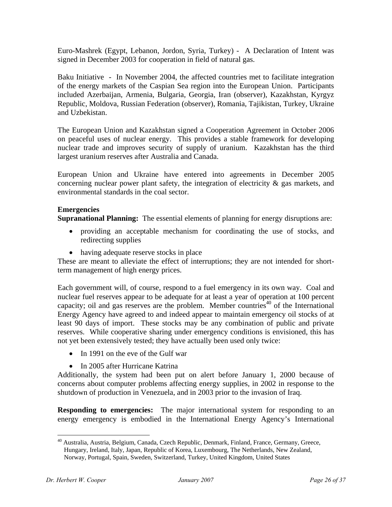Euro-Mashrek (Egypt, Lebanon, Jordon, Syria, Turkey) - A Declaration of Intent was signed in December 2003 for cooperation in field of natural gas.

Baku Initiative - In November 2004, the affected countries met to facilitate integration of the energy markets of the Caspian Sea region into the European Union. Participants included Azerbaijan, Armenia, Bulgaria, Georgia, Iran (observer), Kazakhstan, Kyrgyz Republic, Moldova, Russian Federation (observer), Romania, Tajikistan, Turkey, Ukraine and Uzbekistan.

The European Union and Kazakhstan signed a Cooperation Agreement in October 2006 on peaceful uses of nuclear energy. This provides a stable framework for developing nuclear trade and improves security of supply of uranium. Kazakhstan has the third largest uranium reserves after Australia and Canada.

European Union and Ukraine have entered into agreements in December 2005 concerning nuclear power plant safety, the integration of electricity  $\&$  gas markets, and environmental standards in the coal sector.

## **Emergencies**

**Supranational Planning:** The essential elements of planning for energy disruptions are:

- providing an acceptable mechanism for coordinating the use of stocks, and redirecting supplies
- having adequate reserve stocks in place

These are meant to alleviate the effect of interruptions; they are not intended for shortterm management of high energy prices.

Each government will, of course, respond to a fuel emergency in its own way. Coal and nuclear fuel reserves appear to be adequate for at least a year of operation at 100 percent capacity; oil and gas reserves are the problem. Member countries<sup>40</sup> of the International Energy Agency have agreed to and indeed appear to maintain emergency oil stocks of at least 90 days of import. These stocks may be any combination of public and private reserves. While cooperative sharing under emergency conditions is envisioned, this has not yet been extensively tested; they have actually been used only twice:

- In 1991 on the eve of the Gulf war
- In 2005 after Hurricane Katrina

Additionally, the system had been put on alert before January 1, 2000 because of concerns about computer problems affecting energy supplies, in 2002 in response to the shutdown of production in Venezuela, and in 2003 prior to the invasion of Iraq.

**Responding to emergencies:** The major international system for responding to an energy emergency is embodied in the International Energy Agency's International

<sup>40</sup> Australia, Austria, Belgium, Canada, Czech Republic, Denmark, Finland, France, Germany, Greece, Hungary, Ireland, Italy, Japan, Republic of Korea, Luxembourg, The Netherlands, New Zealand, Norway, Portugal, Spain, Sweden, Switzerland, Turkey, United Kingdom, United States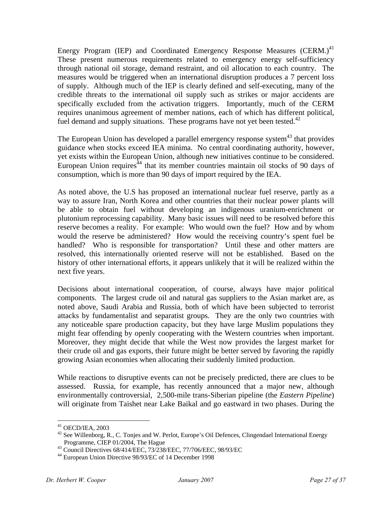Energy Program (IEP) and Coordinated Emergency Response Measures (CERM.)<sup>41</sup> These present numerous requirements related to emergency energy self-sufficiency through national oil storage, demand restraint, and oil allocation to each country. The measures would be triggered when an international disruption produces a 7 percent loss of supply. Although much of the IEP is clearly defined and self-executing, many of the credible threats to the international oil supply such as strikes or major accidents are specifically excluded from the activation triggers. Importantly, much of the CERM requires unanimous agreement of member nations, each of which has different political, fuel demand and supply situations. These programs have not yet been tested. $42$ 

The European Union has developed a parallel emergency response system $43$  that provides guidance when stocks exceed IEA minima. No central coordinating authority, however, yet exists within the European Union, although new initiatives continue to be considered. European Union requires $^{44}$  that its member countries maintain oil stocks of 90 days of consumption, which is more than 90 days of import required by the IEA.

As noted above, the U.S has proposed an international nuclear fuel reserve, partly as a way to assure Iran, North Korea and other countries that their nuclear power plants will be able to obtain fuel without developing an indigenous uranium-enrichment or plutonium reprocessing capability. Many basic issues will need to be resolved before this reserve becomes a reality. For example: Who would own the fuel? How and by whom would the reserve be administered? How would the receiving country's spent fuel be handled? Who is responsible for transportation? Until these and other matters are resolved, this internationally oriented reserve will not be established. Based on the history of other international efforts, it appears unlikely that it will be realized within the next five years.

Decisions about international cooperation, of course, always have major political components. The largest crude oil and natural gas suppliers to the Asian market are, as noted above, Saudi Arabia and Russia, both of which have been subjected to terrorist attacks by fundamentalist and separatist groups. They are the only two countries with any noticeable spare production capacity, but they have large Muslim populations they might fear offending by openly cooperating with the Western countries when important. Moreover, they might decide that while the West now provides the largest market for their crude oil and gas exports, their future might be better served by favoring the rapidly growing Asian economies when allocating their suddenly limited production.

While reactions to disruptive events can not be precisely predicted, there are clues to be assessed. Russia, for example, has recently announced that a major new, although environmentally controversial, 2,500-mile trans-Siberian pipeline (the *Eastern Pipeline*) will originate from Taishet near Lake Baikal and go eastward in two phases. During the

 $41$  OECD/IEA, 2003

 $42$  See Willenborg, R., C. Tonjes and W. Perlot, Europe's Oil Defences, Clingendael International Energy Programme, CIEP 01/2004, The Hague

<sup>43</sup> Council Directives 68/414/EEC, 73/238/EEC, 77/706/EEC, 98/93/EC

<sup>44</sup> European Union Directive 98/93/EC of 14 December 1998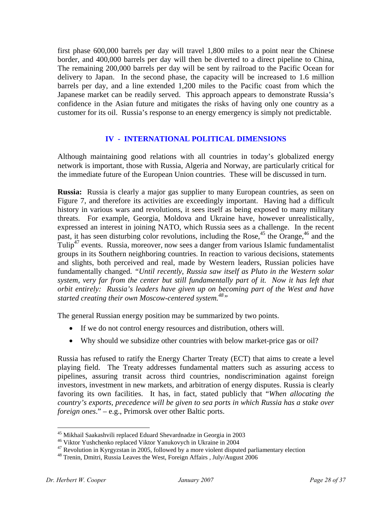first phase 600,000 barrels per day will travel 1,800 miles to a point near the Chinese border, and 400,000 barrels per day will then be diverted to a direct pipeline to China, The remaining 200,000 barrels per day will be sent by railroad to the Pacific Ocean for delivery to Japan. In the second phase, the capacity will be increased to 1.6 million barrels per day, and a line extended 1,200 miles to the Pacific coast from which the Japanese market can be readily served. This approach appears to demonstrate Russia's confidence in the Asian future and mitigates the risks of having only one country as a customer for its oil. Russia's response to an energy emergency is simply not predictable.

## **IV - INTERNATIONAL POLITICAL DIMENSIONS**

Although maintaining good relations with all countries in today's globalized energy network is important, those with Russia, Algeria and Norway, are particularly critical for the immediate future of the European Union countries. These will be discussed in turn.

**Russia:** Russia is clearly a major gas supplier to many European countries, as seen on Figure 7, and therefore its activities are exceedingly important. Having had a difficult history in various wars and revolutions, it sees itself as being exposed to many military threats. For example, Georgia, Moldova and Ukraine have, however unrealistically, expressed an interest in joining NATO, which Russia sees as a challenge. In the recent past, it has seen disturbing color revolutions, including the Rose,<sup>45</sup> the Orange,<sup>46</sup> and the Tulip<sup>47</sup> events. Russia, moreover, now sees a danger from various Islamic fundamentalist groups in its Southern neighboring countries. In reaction to various decisions, statements and slights, both perceived and real, made by Western leaders, Russian policies have fundamentally changed. *"Until recently, Russia saw itself as Pluto in the Western solar system, very far from the center but still fundamentally part of it. Now it has left that orbit entirely: Russia's leaders have given up on becoming part of the West and have started creating their own Moscow-centered system.48"*

The general Russian energy position may be summarized by two points.

- If we do not control energy resources and distribution, others will.
- Why should we subsidize other countries with below market-price gas or oil?

Russia has refused to ratify the Energy Charter Treaty (ECT) that aims to create a level playing field. The Treaty addresses fundamental matters such as assuring access to pipelines, assuring transit across third countries, nondiscrimination against foreign investors, investment in new markets, and arbitration of energy disputes. Russia is clearly favoring its own facilities. It has, in fact, stated publicly that "*When allocating the country's exports, precedence will be given to sea ports in which Russia has a stake over foreign ones*." – e.g., Primorsk over other Baltic ports.

<u>.</u>

<sup>45</sup> Mikhail Saakashvili replaced Eduard Shevardnadze in Georgia in 2003

<sup>46</sup> Viktor Yushchenko replaced Viktor Yanukovych in Ukraine in 2004

<sup>&</sup>lt;sup>47</sup> Revolution in Kyrgyzstan in 2005, followed by a more violent disputed parliamentary election

<sup>&</sup>lt;sup>48</sup> Trenin, Dmitri, Russia Leaves the West, Foreign Affairs, July/August 2006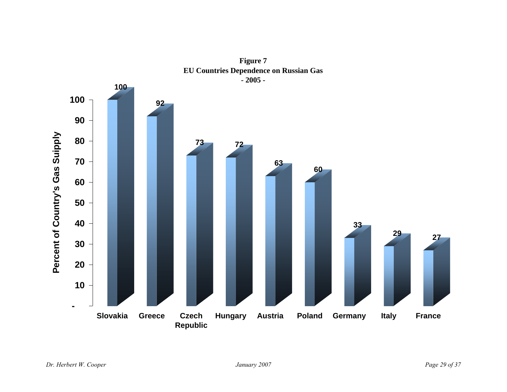

**Figure 7 EU Countries Dependence on Russian Gas**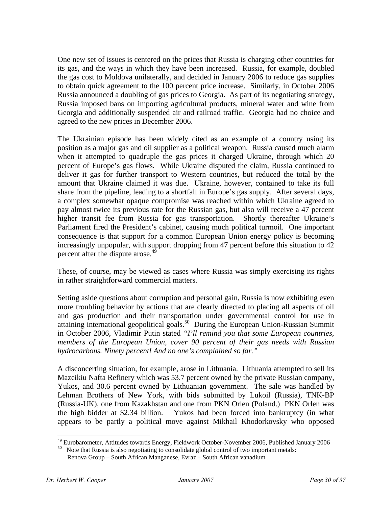One new set of issues is centered on the prices that Russia is charging other countries for its gas, and the ways in which they have been increased. Russia, for example, doubled the gas cost to Moldova unilaterally, and decided in January 2006 to reduce gas supplies to obtain quick agreement to the 100 percent price increase. Similarly, in October 2006 Russia announced a doubling of gas prices to Georgia. As part of its negotiating strategy, Russia imposed bans on importing agricultural products, mineral water and wine from Georgia and additionally suspended air and railroad traffic. Georgia had no choice and agreed to the new prices in December 2006.

The Ukrainian episode has been widely cited as an example of a country using its position as a major gas and oil supplier as a political weapon. Russia caused much alarm when it attempted to quadruple the gas prices it charged Ukraine, through which 20 percent of Europe's gas flows. While Ukraine disputed the claim, Russia continued to deliver it gas for further transport to Western countries, but reduced the total by the amount that Ukraine claimed it was due. Ukraine, however, contained to take its full share from the pipeline, leading to a shortfall in Europe's gas supply. After several days, a complex somewhat opaque compromise was reached within which Ukraine agreed to pay almost twice its previous rate for the Russian gas, but also will receive a 47 percent higher transit fee from Russia for gas transportation. Shortly thereafter Ukraine's Parliament fired the President's cabinet, causing much political turmoil. One important consequence is that support for a common European Union energy policy is becoming increasingly unpopular, with support dropping from 47 percent before this situation to 42 percent after the dispute arose.<sup>49</sup>

These, of course, may be viewed as cases where Russia was simply exercising its rights in rather straightforward commercial matters.

Setting aside questions about corruption and personal gain, Russia is now exhibiting even more troubling behavior by actions that are clearly directed to placing all aspects of oil and gas production and their transportation under governmental control for use in attaining international geopolitical goals.<sup>50</sup> During the European Union-Russian Summit in October 2006, Vladimir Putin stated *"I'll remind you that some European countries, members of the European Union, cover 90 percent of their gas needs with Russian hydrocarbons. Ninety percent! And no one's complained so far."*

A disconcerting situation, for example, arose in Lithuania. Lithuania attempted to sell its Mazeikiu Nafta Refinery which was 53.7 percent owned by the private Russian company, Yukos, and 30.6 percent owned by Lithuanian government. The sale was handled by Lehman Brothers of New York, with bids submitted by Lukoil (Russia), TNK-BP (Russia-UK), one from Kazakhstan and one from PKN Orlen (Poland.) PKN Orlen was the high bidder at \$2.34 billion. Yukos had been forced into bankruptcy (in what appears to be partly a political move against Mikhail Khodorkovsky who opposed

<sup>&</sup>lt;sup>49</sup> Eurobarometer, Attitudes towards Energy, Fieldwork October-November 2006, Published January 2006 <sup>50</sup> Note that Russia is also negotiating to consolidate global control of two important metals:

Renova Group – South African Manganese, Evraz – South African vanadium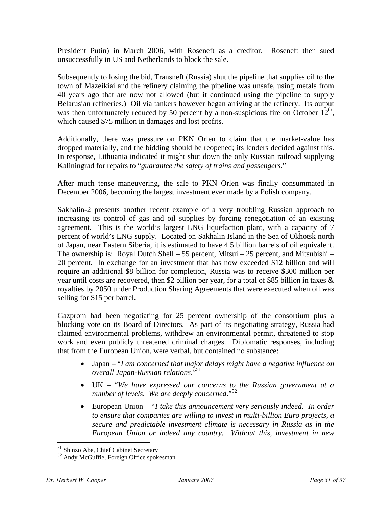President Putin) in March 2006, with Roseneft as a creditor. Roseneft then sued unsuccessfully in US and Netherlands to block the sale.

Subsequently to losing the bid, Transneft (Russia) shut the pipeline that supplies oil to the town of Mazeikiai and the refinery claiming the pipeline was unsafe, using metals from 40 years ago that are now not allowed (but it continued using the pipeline to supply Belarusian refineries.) Oil via tankers however began arriving at the refinery. Its output was then unfortunately reduced by 50 percent by a non-suspicious fire on October  $12<sup>th</sup>$ , which caused \$75 million in damages and lost profits.

Additionally, there was pressure on PKN Orlen to claim that the market-value has dropped materially, and the bidding should be reopened; its lenders decided against this. In response, Lithuania indicated it might shut down the only Russian railroad supplying Kaliningrad for repairs to "*guarantee the safety of trains and passengers*."

After much tense maneuvering, the sale to PKN Orlen was finally consummated in December 2006, becoming the largest investment ever made by a Polish company.

Sakhalin-2 presents another recent example of a very troubling Russian approach to increasing its control of gas and oil supplies by forcing renegotiation of an existing agreement. This is the world's largest LNG liquefaction plant, with a capacity of 7 percent of world's LNG supply. Located on Sakhalin Island in the Sea of Okhotsk north of Japan, near Eastern Siberia, it is estimated to have 4.5 billion barrels of oil equivalent. The ownership is: Royal Dutch Shell – 55 percent, Mitsui – 25 percent, and Mitsubishi – 20 percent. In exchange for an investment that has now exceeded \$12 billion and will require an additional \$8 billion for completion, Russia was to receive \$300 million per year until costs are recovered, then \$2 billion per year, for a total of \$85 billion in taxes & royalties by 2050 under Production Sharing Agreements that were executed when oil was selling for \$15 per barrel.

Gazprom had been negotiating for 25 percent ownership of the consortium plus a blocking vote on its Board of Directors. As part of its negotiating strategy, Russia had claimed environmental problems, withdrew an environmental permit, threatened to stop work and even publicly threatened criminal charges. Diplomatic responses, including that from the European Union, were verbal, but contained no substance:

- Japan "*I am concerned that major delays might have a negative influence on overall Japan-Russian relations*."51
- UK "*We have expressed our concerns to the Russian government at a number of levels. We are deeply concerned*."52
- European Union "*I take this announcement very seriously indeed. In order to ensure that companies are willing to invest in multi-billion Euro projects, a secure and predictable investment climate is necessary in Russia as in the European Union or indeed any country. Without this, investment in new*

<sup>51</sup> Shinzo Abe, Chief Cabinet Secretary

<sup>52</sup> Andy McGuffie, Foreign Office spokesman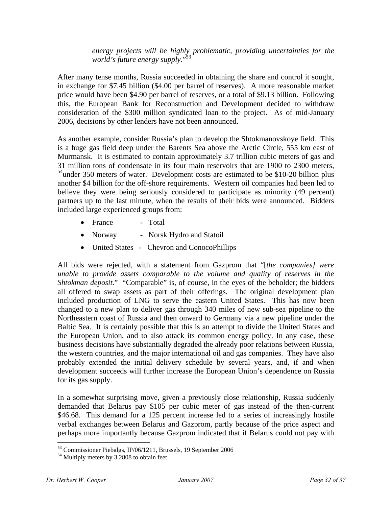*energy projects will be highly problematic, providing uncertainties for the world's future energy supply*."53

After many tense months, Russia succeeded in obtaining the share and control it sought, in exchange for \$7.45 billion (\$4.00 per barrel of reserves). A more reasonable market price would have been \$4.90 per barrel of reserves, or a total of \$9.13 billion. Following this, the European Bank for Reconstruction and Development decided to withdraw consideration of the \$300 million syndicated loan to the project. As of mid-January 2006, decisions by other lenders have not been announced.

As another example, consider Russia's plan to develop the Shtokmanovskoye field. This is a huge gas field deep under the Barents Sea above the Arctic Circle, 555 km east of Murmansk. It is estimated to contain approximately 3.7 trillion cubic meters of gas and 31 million tons of condensate in its four main reservoirs that are 1900 to 2300 meters, <sup>54</sup>under 350 meters of water. Development costs are estimated to be \$10-20 billion plus another \$4 billion for the off-shore requirements. Western oil companies had been led to believe they were being seriously considered to participate as minority (49 percent) partners up to the last minute, when the results of their bids were announced. Bidders included large experienced groups from:

- France Total
- Norway Norsk Hydro and Statoil
- United States Chevron and ConocoPhillips

All bids were rejected, with a statement from Gazprom that "[*the companies] were unable to provide assets comparable to the volume and quality of reserves in the Shtokman deposit*." "Comparable" is, of course, in the eyes of the beholder; the bidders all offered to swap assets as part of their offerings. The original development plan included production of LNG to serve the eastern United States. This has now been changed to a new plan to deliver gas through 340 miles of new sub-sea pipeline to the Northeastern coast of Russia and then onward to Germany via a new pipeline under the Baltic Sea. It is certainly possible that this is an attempt to divide the United States and the European Union, and to also attack its common energy policy. In any case, these business decisions have substantially degraded the already poor relations between Russia, the western countries, and the major international oil and gas companies. They have also probably extended the initial delivery schedule by several years, and, if and when development succeeds will further increase the European Union's dependence on Russia for its gas supply.

In a somewhat surprising move, given a previously close relationship, Russia suddenly demanded that Belarus pay \$105 per cubic meter of gas instead of the then-current \$46.68. This demand for a 125 percent increase led to a series of increasingly hostile verbal exchanges between Belarus and Gazprom, partly because of the price aspect and perhaps more importantly because Gazprom indicated that if Belarus could not pay with

<sup>53</sup> Commissioner Piebalgs, IP/06/1211, Brussels, 19 September 2006

<sup>54</sup> Multiply meters by 3.2808 to obtain feet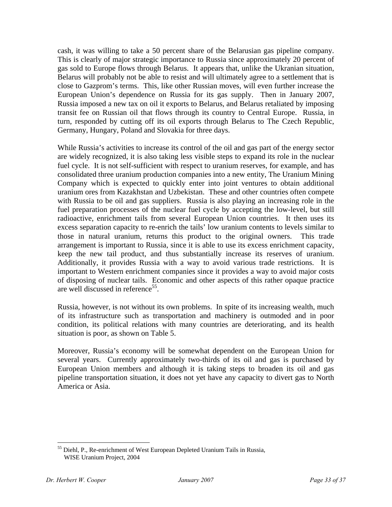cash, it was willing to take a 50 percent share of the Belarusian gas pipeline company. This is clearly of major strategic importance to Russia since approximately 20 percent of gas sold to Europe flows through Belarus. It appears that, unlike the Ukranian situation, Belarus will probably not be able to resist and will ultimately agree to a settlement that is close to Gazprom's terms. This, like other Russian moves, will even further increase the European Union's dependence on Russia for its gas supply. Then in January 2007, Russia imposed a new tax on oil it exports to Belarus, and Belarus retaliated by imposing transit fee on Russian oil that flows through its country to Central Europe. Russia, in turn, responded by cutting off its oil exports through Belarus to The Czech Republic, Germany, Hungary, Poland and Slovakia for three days.

While Russia's activities to increase its control of the oil and gas part of the energy sector are widely recognized, it is also taking less visible steps to expand its role in the nuclear fuel cycle. It is not self-sufficient with respect to uranium reserves, for example, and has consolidated three uranium production companies into a new entity, The Uranium Mining Company which is expected to quickly enter into joint ventures to obtain additional uranium ores from Kazakhstan and Uzbekistan. These and other countries often compete with Russia to be oil and gas suppliers. Russia is also playing an increasing role in the fuel preparation processes of the nuclear fuel cycle by accepting the low-level, but still radioactive, enrichment tails from several European Union countries. It then uses its excess separation capacity to re-enrich the tails' low uranium contents to levels similar to those in natural uranium, returns this product to the original owners. This trade arrangement is important to Russia, since it is able to use its excess enrichment capacity, keep the new tail product, and thus substantially increase its reserves of uranium. Additionally, it provides Russia with a way to avoid various trade restrictions. It is important to Western enrichment companies since it provides a way to avoid major costs of disposing of nuclear tails. Economic and other aspects of this rather opaque practice are well discussed in reference<sup>55</sup>.

Russia, however, is not without its own problems. In spite of its increasing wealth, much of its infrastructure such as transportation and machinery is outmoded and in poor condition, its political relations with many countries are deteriorating, and its health situation is poor, as shown on Table 5.

Moreover, Russia's economy will be somewhat dependent on the European Union for several years. Currently approximately two-thirds of its oil and gas is purchased by European Union members and although it is taking steps to broaden its oil and gas pipeline transportation situation, it does not yet have any capacity to divert gas to North America or Asia.

<sup>1</sup> <sup>55</sup> Diehl, P., Re-enrichment of West European Depleted Uranium Tails in Russia, WISE Uranium Project, 2004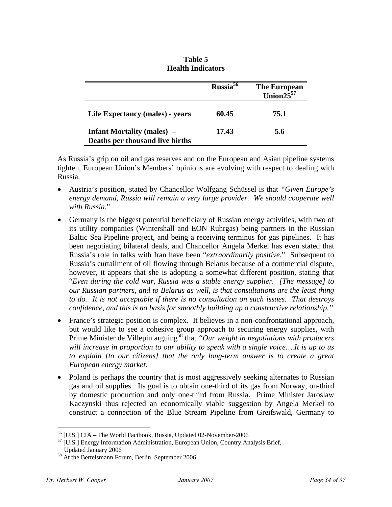|                                                                      | $Russia5\overline{6}$ | The European<br>Union $25^{57}$ |
|----------------------------------------------------------------------|-----------------------|---------------------------------|
| Life Expectancy (males) - years                                      | 60.45                 | 75.1                            |
| <b>Infant Mortality (males)</b> –<br>Deaths per thousand live births | 17.43                 | 5.6                             |

## **Table 5 Health Indicators**

As Russia's grip on oil and gas reserves and on the European and Asian pipeline systems tighten, European Union's Members' opinions are evolving with respect to dealing with Russia.

- Austria's position, stated by Chancellor Wolfgang Schüssel is that *"Given Europe's energy demand, Russia will remain a very large provider. We should cooperate well with Russia*."
- Germany is the biggest potential beneficiary of Russian energy activities, with two of its utility companies (Wintershall and EON Ruhrgas) being partners in the Russian Baltic Sea Pipeline project, and being a receiving terminus for gas pipelines. It has been negotiating bilateral deals, and Chancellor Angela Merkel has even stated that Russia's role in talks with Iran have been "*extraordinarily positive.*" Subsequent to Russia's curtailment of oil flowing through Belarus because of a commercial dispute, however, it appears that she is adopting a somewhat different position, stating that "*Even during the cold war, Russia was a stable energy supplier. [The message] to our Russian partners, and to Belarus as well, is that consultations are the least thing to do. It is not acceptable if there is no consultation on such issues. That destroys confidence, and this is no basis for smoothly building up a constructive relationship."*
- France's strategic position is complex. It believes in a non-confrontational approach, but would like to see a cohesive group approach to securing energy supplies, with Prime Minister de Villepin arguing<sup>58</sup> that *"Our weight in negotiations with producers will increase in proportion to our ability to speak with a single voice….It is up to us to explain [to our citizens] that the only long-term answer is to create a great European energy market.*
- Poland is perhaps the country that is most aggressively seeking alternates to Russian gas and oil supplies. Its goal is to obtain one-third of its gas from Norway, on-third by domestic production and only one-third from Russia. Prime Minister Jaroslaw Kaczynski thus rejected an economically viable suggestion by Angela Merkel to construct a connection of the Blue Stream Pipeline from Greifswald, Germany to

<u>.</u>

<sup>56 [</sup>U.S.] CIA – The World Factbook, Russia, Updated 02-November-2006

<sup>&</sup>lt;sup>57</sup> [U.S.] Energy Information Administration, European Union, Country Analysis Brief, Updated January 2006

<sup>58</sup> At the Bertelsmann Forum, Berlin, September 2006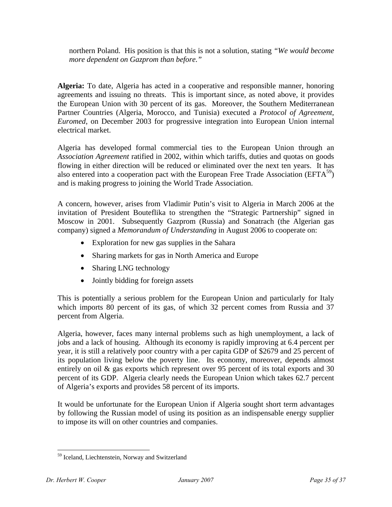northern Poland. His position is that this is not a solution, stating *"We would become more dependent on Gazprom than before."*

**Algeria:** To date, Algeria has acted in a cooperative and responsible manner, honoring agreements and issuing no threats. This is important since, as noted above, it provides the European Union with 30 percent of its gas. Moreover, the Southern Mediterranean Partner Countries (Algeria, Morocco, and Tunisia) executed a *Protocol of Agreement, Euromed*, on December 2003 for progressive integration into European Union internal electrical market.

Algeria has developed formal commercial ties to the European Union through an *Association Agreement* ratified in 2002, within which tariffs, duties and quotas on goods flowing in either direction will be reduced or eliminated over the next ten years. It has also entered into a cooperation pact with the European Free Trade Association ( $EFTA^{59}$ ) and is making progress to joining the World Trade Association.

A concern, however, arises from Vladimir Putin's visit to Algeria in March 2006 at the invitation of President Bouteflika to strengthen the "Strategic Partnership" signed in Moscow in 2001. Subsequently Gazprom (Russia) and Sonatrach (the Algerian gas company) signed a *Memorandum of Understanding* in August 2006 to cooperate on:

- Exploration for new gas supplies in the Sahara
- Sharing markets for gas in North America and Europe
- Sharing LNG technology
- Jointly bidding for foreign assets

This is potentially a serious problem for the European Union and particularly for Italy which imports 80 percent of its gas, of which 32 percent comes from Russia and 37 percent from Algeria.

Algeria, however, faces many internal problems such as high unemployment, a lack of jobs and a lack of housing. Although its economy is rapidly improving at 6.4 percent per year, it is still a relatively poor country with a per capita GDP of \$2679 and 25 percent of its population living below the poverty line. Its economy, moreover, depends almost entirely on oil & gas exports which represent over 95 percent of its total exports and 30 percent of its GDP. Algeria clearly needs the European Union which takes 62.7 percent of Algeria's exports and provides 58 percent of its imports.

It would be unfortunate for the European Union if Algeria sought short term advantages by following the Russian model of using its position as an indispensable energy supplier to impose its will on other countries and companies.

<sup>59</sup> Iceland, Liechtenstein, Norway and Switzerland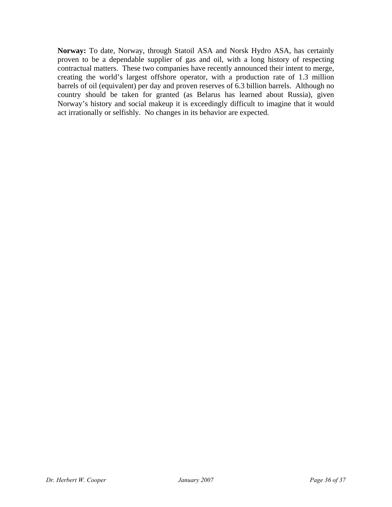**Norway:** To date, Norway, through Statoil ASA and Norsk Hydro ASA, has certainly proven to be a dependable supplier of gas and oil, with a long history of respecting contractual matters. These two companies have recently announced their intent to merge, creating the world's largest offshore operator, with a production rate of 1.3 million barrels of oil (equivalent) per day and proven reserves of 6.3 billion barrels. Although no country should be taken for granted (as Belarus has learned about Russia), given Norway's history and social makeup it is exceedingly difficult to imagine that it would act irrationally or selfishly. No changes in its behavior are expected.